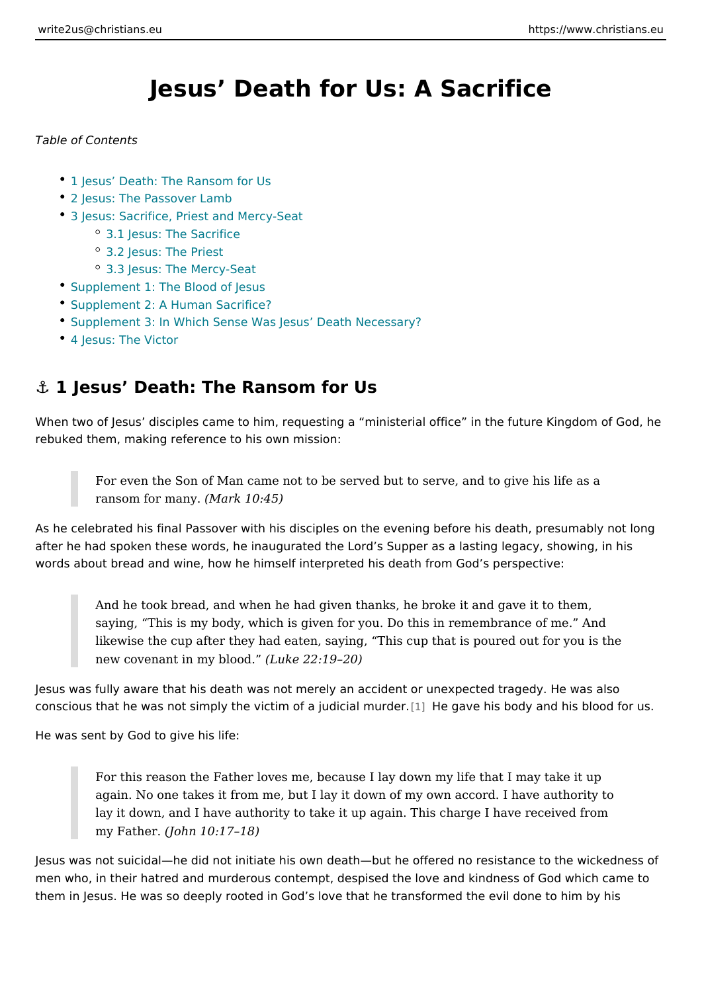# Jesus Death for Us: A Sacrifice

Table of Contents

- 1 Jesus Death: The Ransom for Us
- [2 Jesus: The Passo](#page-2-0)ver Lamb
- 3 Jesus: Sacrifice, Priest and Mercy-Seat
	- [3.1 Jesus: The S](#page-3-0)acrifice
	- [3.2 Jesus: The](#page-5-0) Priest
	- 3.3 Jesus: The Mercy-Seat
- [Supplement 1: The Bloo](#page-6-0)d of Jesus
- [Supplement 2: A Human](#page-9-0) Sacrifice?
- **[Supplement 3: In Which Sense Was Jesus](#page-10-0) Death Necessary?**
- [4 Jesus: The](#page-11-0) Victor

### &" 1 Jesus Death: The Ransom for Us

When two of Jesus disciples came to him, requesting a ministerial office in th rebuked them, making reference to his own mission:

For even the Son of Man came not to be served but to serve, and to giv ransom for má $M$ ark 10:45)

As he celebrated his final Passover with his disciples on the evening before his after he had spoken these words, he inaugurated the Lord s Supper as a lasting words about bread and wine, how he himself interpreted his death from God s pe

And he took bread, and when he had given thanks, he broke it and gave saying, This is my body, which is given for you. Do this in remembranc likewise the cup after they had eaten, saying, This cup that is poured  $\overline{\phantom{a}}$  $new$  covenant in my  $bl$ **ake** .  $22:19$  20)

Jesus was fully aware that his death was not merely an accident or unexpected t conscious that he was not simply the victim of  $1$  ja **Hedgained miner dendy** and his blood

He was sent by God to give his life:

For this reason the Father loves me, because I lay down my life that I n again. No one takes it from me, but I lay it down of my own accord. I ha lay it down, and I have authority to take it up again. This charge I have  $my$  Fathed. (J.ohn 10:17 18)

Jesus was not suicidal he did not initiate his own death but he offered no resist men who, in their hatred and murderous contempt, despised the love and kindnes them in Jesus. He was so deeply rooted in God s love that he transformed the ev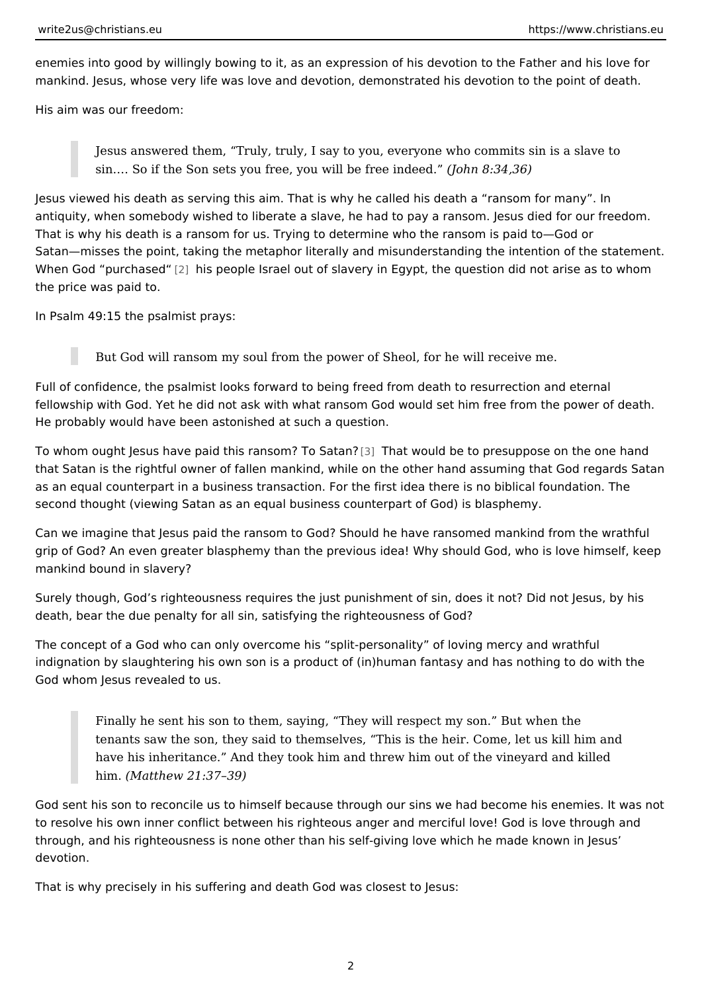enemies into good by willingly bowing to it, as an expression of his devotion to mankind. Jesus, whose very life was love and devotion, demonstrated his devotion

His aim was our freedom:

Jesus answered them, Truly, truly, I say to you, everyone who commits sin. & So if the Son sets you free, you will both for e3e 3i4n, cBe6e)d.

Jesus viewed his death as serving this aim. That is why he called his death a ra antiquity, when somebody wished to liberate a slave, he had to pay a ransom. Je That is why his death is a ransom for us. Trying to determine who the ransom is Satan misses the point, taking the metaphor literally and misunderstanding the i When God purch  $x$  send is people Israel out of slavery in Egypt, the question did not the price was paid to.

In Psalm 49:15 the psalmist prays:

But God will ransom my soul from the power of Sheol, for he will receive

Full of confidence, the psalmist looks forward to being freed from death to resur fellowship with God. Yet he did not ask with what ransom God would set him free He probably would have been astonished at such a question.

To whom ought Jesus have paid this ra[nso](#page-12-0)m? That would the to presuppose on the or that Satan is the rightful owner of fallen mankind, while on the other hand assur as an equal counterpart in a business transaction. For the first idea there is no second thought (viewing Satan as an equal business counterpart of God) is blasp

Can we imagine that Jesus paid the ransom to God? Should he have ransomed man grip of God? An even greater blasphemy than the previous idea! Why should God mankind bound in slavery?

Surely though, God s righteousness requires the just punishment of sin, does it death, bear the due penalty for all sin, satisfying the righteousness of God?

The concept of a God who can only overcome his split-personality of loving me indignation by slaughtering his own son is a product of (in)human fantasy and ha God whom Jesus revealed to us.

Finally he sent his son to them, saying, They will respect my son. But tenants saw the son, they said to themselves, This is the heir. Come, I have his inheritance. And they took him and threw him out of the viney him. (Matthew 21:37 39)

God sent his son to reconcile us to himself because through our sins we had bec to resolve his own inner conflict between his righteous anger and merciful love! through, and his righteousness is none other than his self-giving love which he i devotion.

That is why precisely in his suffering and death God was closest to Jesus: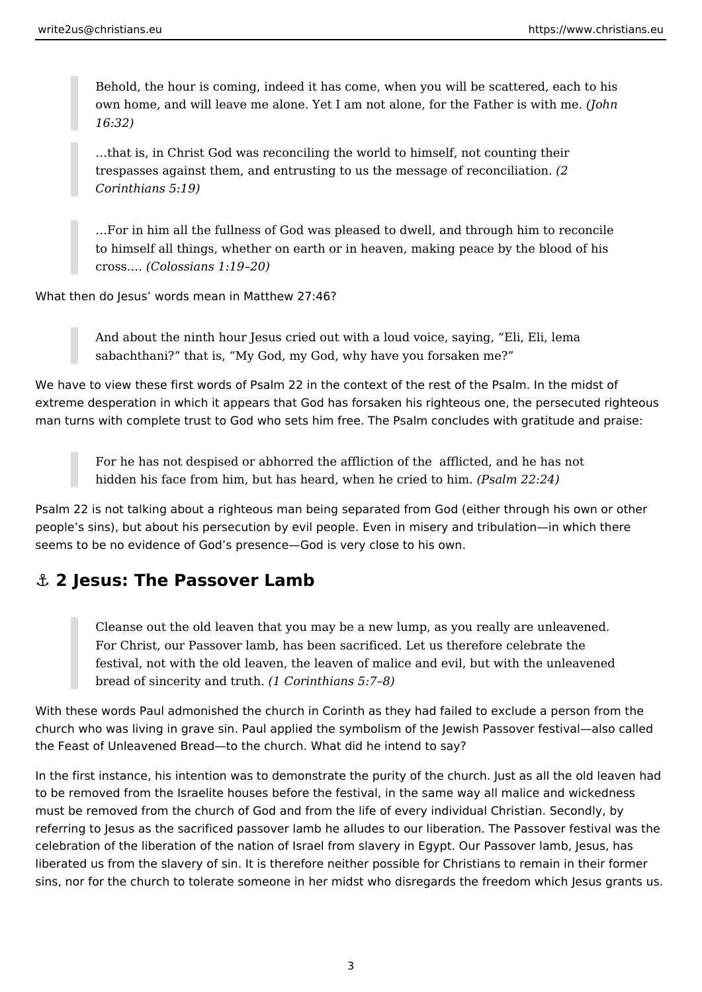<span id="page-2-0"></span>Behold, the hour is coming, indeed it has come, when you will be scattered, each to his own home, and will leave me alone. Yet I am not alone, for the Father is with me. *(John 16:32)*

…that is, in Christ God was reconciling the world to himself, not counting their trespasses against them, and entrusting to us the message of reconciliation. *(2 Corinthians 5:19)*

…For in him all the fullness of God was pleased to dwell, and through him to reconcile to himself all things, whether on earth or in heaven, making peace by the blood of his cross.… *(Colossians 1:19–20)*

What then do Jesus' words mean in Matthew 27:46?

And about the ninth hour Jesus cried out with a loud voice, saying, "Eli, Eli, lema sabachthani?" that is, "My God, my God, why have you forsaken me?"

We have to view these first words of Psalm 22 in the context of the rest of the Psalm. In the midst of extreme desperation in which it appears that God has forsaken his righteous one, the persecuted righteous man turns with complete trust to God who sets him free. The Psalm concludes with gratitude and praise:

For he has not despised or abhorred the affliction of the afflicted, and he has not hidden his face from him, but has heard, when he cried to him. *(Psalm 22:24)*

Psalm 22 is not talking about a righteous man being separated from God (either through his own or other people's sins), but about his persecution by evil people. Even in misery and tribulation—in which there seems to be no evidence of God's presence—God is very close to his own.

## **⚓ 2 Jesus: The Passover Lamb**

Cleanse out the old leaven that you may be a new lump, as you really are unleavened. For Christ, our Passover lamb, has been sacrificed. Let us therefore celebrate the festival, not with the old leaven, the leaven of malice and evil, but with the unleavened bread of sincerity and truth. *(1 Corinthians 5:7–8)*

With these words Paul admonished the church in Corinth as they had failed to exclude a person from the church who was living in grave sin. Paul applied the symbolism of the Jewish Passover festival—also called the Feast of Unleavened Bread—to the church. What did he intend to say?

In the first instance, his intention was to demonstrate the purity of the church. Just as all the old leaven had to be removed from the Israelite houses before the festival, in the same way all malice and wickedness must be removed from the church of God and from the life of every individual Christian. Secondly, by referring to Jesus as the sacrificed passover lamb he alludes to our liberation. The Passover festival was the celebration of the liberation of the nation of Israel from slavery in Egypt. Our Passover lamb, Jesus, has liberated us from the slavery of sin. It is therefore neither possible for Christians to remain in their former sins, nor for the church to tolerate someone in her midst who disregards the freedom which Jesus grants us.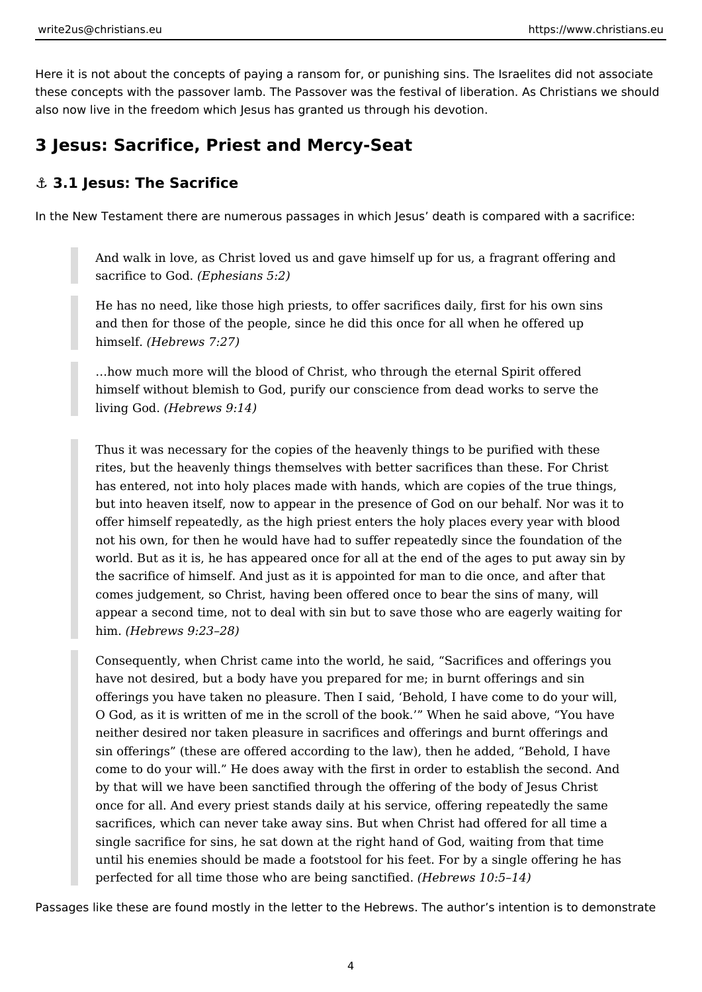<span id="page-3-0"></span>Here it is not about the concepts of paying a ransom for, or punishing sins. The Israelites did not associate these concepts with the passover lamb. The Passover was the festival of liberation. As Christians we should also now live in the freedom which Jesus has granted us through his devotion.

## **3 Jesus: Sacrifice, Priest and Mercy-Seat**

## **⚓ 3.1 Jesus: The Sacrifice**

In the New Testament there are numerous passages in which Jesus' death is compared with a sacrifice:

And walk in love, as Christ loved us and gave himself up for us, a fragrant offering and sacrifice to God. *(Ephesians 5:2)*

He has no need, like those high priests, to offer sacrifices daily, first for his own sins and then for those of the people, since he did this once for all when he offered up himself. *(Hebrews 7:27)*

…how much more will the blood of Christ, who through the eternal Spirit offered himself without blemish to God, purify our conscience from dead works to serve the living God. *(Hebrews 9:14)*

Thus it was necessary for the copies of the heavenly things to be purified with these rites, but the heavenly things themselves with better sacrifices than these. For Christ has entered, not into holy places made with hands, which are copies of the true things, but into heaven itself, now to appear in the presence of God on our behalf. Nor was it to offer himself repeatedly, as the high priest enters the holy places every year with blood not his own, for then he would have had to suffer repeatedly since the foundation of the world. But as it is, he has appeared once for all at the end of the ages to put away sin by the sacrifice of himself. And just as it is appointed for man to die once, and after that comes judgement, so Christ, having been offered once to bear the sins of many, will appear a second time, not to deal with sin but to save those who are eagerly waiting for him. *(Hebrews 9:23–28)*

Consequently, when Christ came into the world, he said, "Sacrifices and offerings you have not desired, but a body have you prepared for me; in burnt offerings and sin offerings you have taken no pleasure. Then I said, 'Behold, I have come to do your will, O God, as it is written of me in the scroll of the book.'" When he said above, "You have neither desired nor taken pleasure in sacrifices and offerings and burnt offerings and sin offerings" (these are offered according to the law), then he added, "Behold, I have come to do your will." He does away with the first in order to establish the second. And by that will we have been sanctified through the offering of the body of Jesus Christ once for all. And every priest stands daily at his service, offering repeatedly the same sacrifices, which can never take away sins. But when Christ had offered for all time a single sacrifice for sins, he sat down at the right hand of God, waiting from that time until his enemies should be made a footstool for his feet. For by a single offering he has perfected for all time those who are being sanctified. *(Hebrews 10:5–14)*

Passages like these are found mostly in the letter to the Hebrews. The author's intention is to demonstrate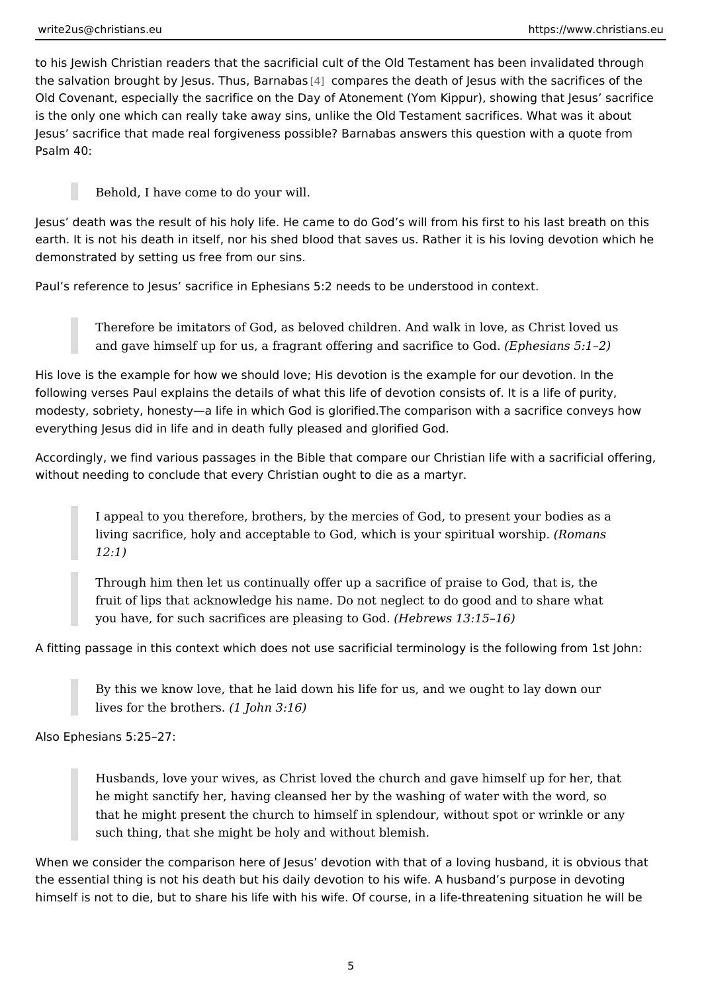to his Jewish Christian readers that the sacrificial cult of the Old Testament has the salvation brought by Jesus. [Thu](#page-12-0)s, o Bhapman a bas death of Jesus with the sacrifi Old Covenant, especially the sacrifice on the Day of Atonement (Yom Kippur), show is the only one which can really take away sins, unlike the Old Testament sacrif Jesus sacrifice that made real forgiveness possible? Barnabas answers this que Psalm 40:

Behold, I have come to do your will.

Jesus death was the result of his holy life. He came to do God s will from his fi earth. It is not his death in itself, nor his shed blood that saves us. Rather it is demonstrated by setting us free from our sins.

Paul s reference to Jesus sacrifice in Ephesians 5:2 needs to be understood in

Therefore be imitators of God, as beloved children. And walk in love, as and gave himself up for us, a fragrant offering and pshaes riations ested  $Q\phi d$ .

His love is the example for how we should love; His devotion is the example for following verses Paul explains the details of what this life of devotion consists of modesty, sobriety, honesty a life in which God is glorified. The comparison with a everything Jesus did in life and in death fully pleased and glorified God.

Accordingly, we find various passages in the Bible that compare our Christian lift without needing to conclude that every Christian ought to die as a martyr.

I appeal to you therefore, brothers, by the mercies of God, to present y living sacrifice, holy and acceptable to God, which is your semistical wor 12:1)

Through him then let us continually offer up a sacrifice of praise to God fruit of lips that acknowledge his name. Do not neglect to do good and t you have, for such sacrifices are plet as brands  $G3xd.5$  16)

A fitting passage in this context which does not use sacrificial terminology is th

By this we know love, that he laid down his life for us, and we ought to lives for the brothedrosh  $3:16$ )

Also Ephesians 5:25 27:

Husbands, love your wives, as Christ loved the church and gave himself he might sanctify her, having cleansed her by the washing of water with that he might present the church to himself in splendour, without spot o such thing, that she might be holy and without blemish.

When we consider the comparison here of Jesus devotion with that of a loving h the essential thing is not his death but his daily devotion to his wife. A husband himself is not to die, but to share his life with his wife. Of course, in a life-thre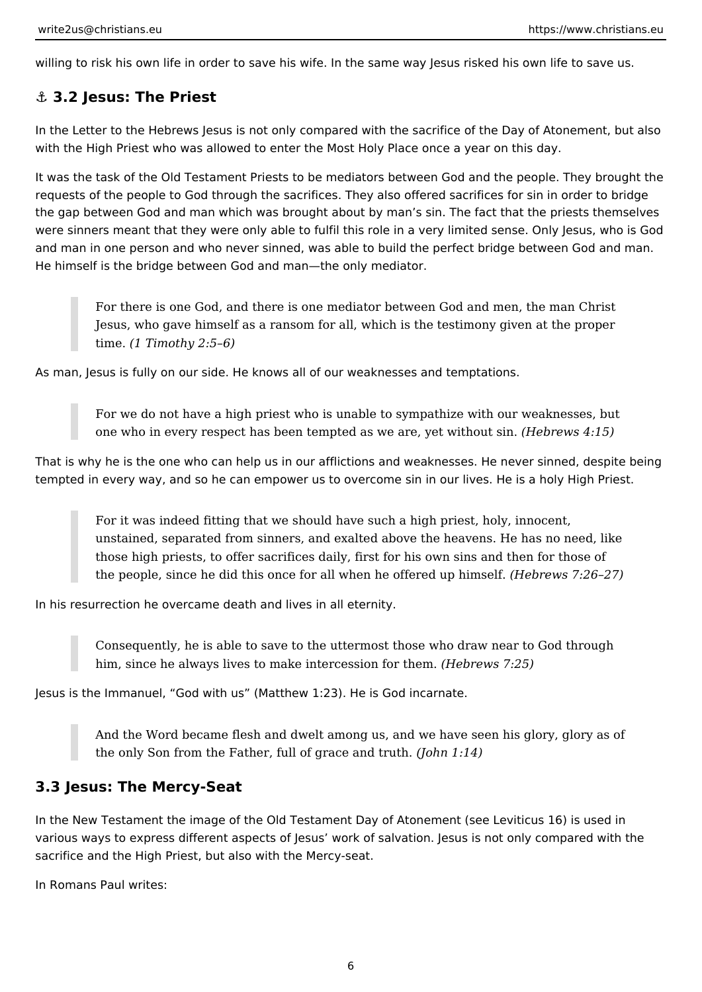<span id="page-5-0"></span>willing to risk his own life in order to save his wife. In the same way Jesus risked his own life to save us.

### **⚓ 3.2 Jesus: The Priest**

In the Letter to the Hebrews Jesus is not only compared with the sacrifice of the Day of Atonement, but also with the High Priest who was allowed to enter the Most Holy Place once a year on this day.

It was the task of the Old Testament Priests to be mediators between God and the people. They brought the requests of the people to God through the sacrifices. They also offered sacrifices for sin in order to bridge the gap between God and man which was brought about by man's sin. The fact that the priests themselves were sinners meant that they were only able to fulfil this role in a very limited sense. Only Jesus, who is God and man in one person and who never sinned, was able to build the perfect bridge between God and man. He himself is the bridge between God and man—the only mediator.

For there is one God, and there is one mediator between God and men, the man Christ Jesus, who gave himself as a ransom for all, which is the testimony given at the proper time. *(1 Timothy 2:5–6)*

As man, Jesus is fully on our side. He knows all of our weaknesses and temptations.

For we do not have a high priest who is unable to sympathize with our weaknesses, but one who in every respect has been tempted as we are, yet without sin. *(Hebrews 4:15)*

That is why he is the one who can help us in our afflictions and weaknesses. He never sinned, despite being tempted in every way, and so he can empower us to overcome sin in our lives. He is a holy High Priest.

For it was indeed fitting that we should have such a high priest, holy, innocent, unstained, separated from sinners, and exalted above the heavens. He has no need, like those high priests, to offer sacrifices daily, first for his own sins and then for those of the people, since he did this once for all when he offered up himself. *(Hebrews 7:26–27)*

In his resurrection he overcame death and lives in all eternity.

Consequently, he is able to save to the uttermost those who draw near to God through him, since he always lives to make intercession for them. *(Hebrews 7:25)*

Jesus is the Immanuel, "God with us" (Matthew 1:23). He is God incarnate.

And the Word became flesh and dwelt among us, and we have seen his glory, glory as of the only Son from the Father, full of grace and truth. *(John 1:14)*

### **3.3 Jesus: The Mercy-Seat**

In the New Testament the image of the Old Testament Day of Atonement (see Leviticus 16) is used in various ways to express different aspects of Jesus' work of salvation. Jesus is not only compared with the sacrifice and the High Priest, but also with the Mercy-seat.

In Romans Paul writes: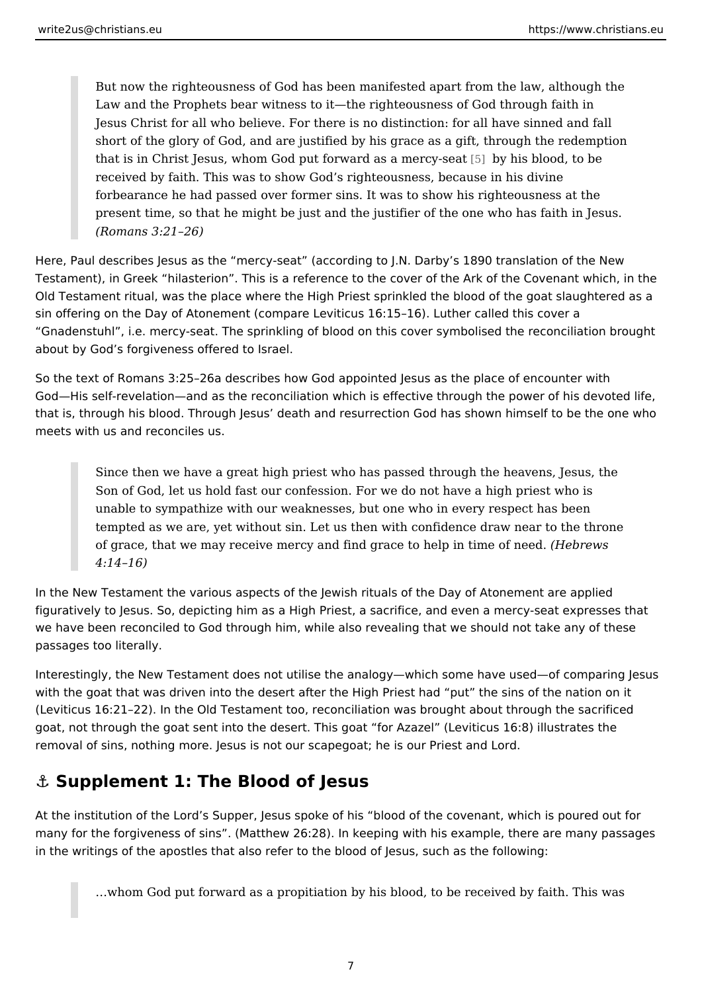<span id="page-6-0"></span>But now the righteousness of God has been manifested apart from the Ia Law and the Prophets bear witness to it the righteousness of God through Jesus Christ for all who believe. For there is no distinction: for all have short of the glory of God, and are justified by his grace as a gift, throu that is in Christ Jesus, whom God put forwa[rd](#page-12-0) alsy a himse boly osde atto be received by faith. This was to show God s righteousness, because in his forbearance he had passed over former sins. It was to show his righteous present time, so that he might be just and the justifier of the one who h (Romans 3:21 26)

Here, Paul describes Jesus as the mercy-seat (according to J.N. Darby s 1890 Testament), in Greek hilasterion . This is a reference to the cover of the Ark of Old Testament ritual, was the place where the High Priest sprinkled the blood of sin offering on the Day of Atonement (compare Leviticus 16:15 16). Luther called Gnadenstuhl, i.e. mercy-seat. The sprinkling of blood on this cover symbolised about by God s forgiveness offered to Israel.

So the text of Romans 3:25 26a describes how God appointed Jesus as the place God His self-revelation and as the reconciliation which is effective through the power that is, through his blood. Through Jesus death and resurrection God has showr meets with us and reconciles us.

Since then we have a great high priest who has passed through the heavens,  $\frac{1}{2}$ Son of God, let us hold fast our confession. For we do not have a high unable to sympathize with our weaknesses, but one who in every respec tempted as we are, yet without sin. Let us then with confidence draw ne of grace, that we may receive mercy and find grace to ( $\texttt{HHeilprèrw}$  sime of ne 4:14 16)

In the New Testament the various aspects of the Jewish rituals of the Day of Ato figuratively to Jesus. So, depicting him as a High Priest, a sacrifice, and even a we have been reconciled to God through him, while also revealing that we should passages too literally.

Interestingly, the New Testament does not utilise the analogy which some have u with the goat that was driven into the desert after the High Priest had put the (Leviticus 16:21 22). In the Old Testament too, reconciliation was brought about goat, not through the goat sent into the desert. This goat for Azazel (Leviticus removal of sins, nothing more. Jesus is not our scapegoat; he is our Priest and

#### &" Supplement 1: The Blood of Jesus

At the institution of the Lord s Supper, Jesus spoke of his blood of the covenan many for the forgiveness of sins . (Matthew  $26:28$ ). In keeping with his example, in the writings of the apostles that also refer to the blood of Jesus, such as the

&whom God put forward as a propitiation by his blood, to be received by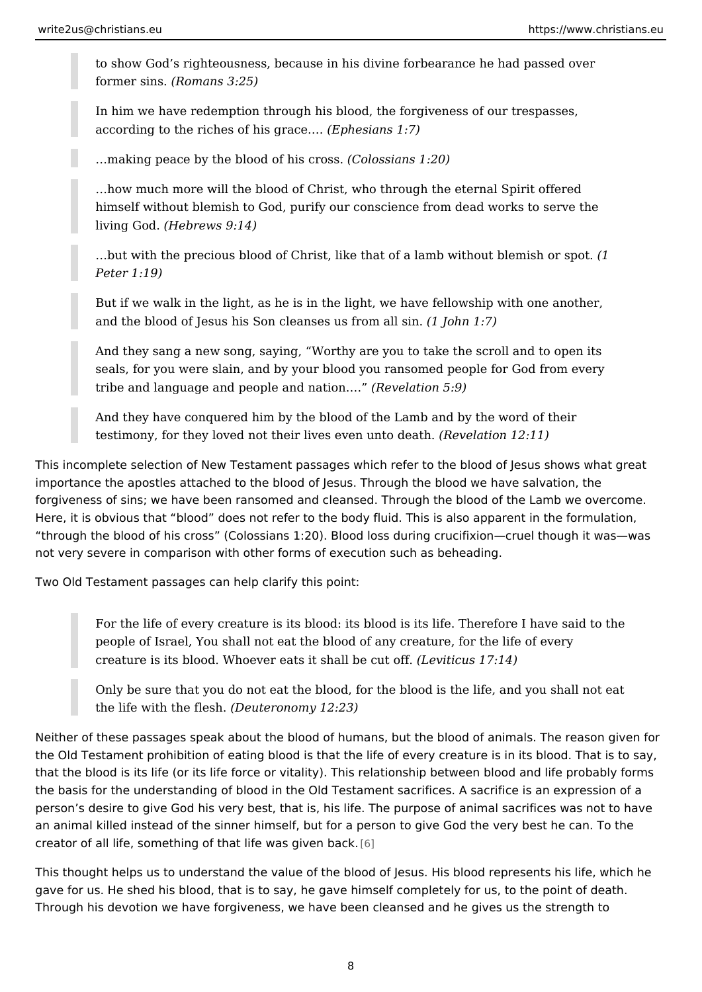to show God s righteousness, because in his divine forbearance he had former sinsomans  $3:25$ )

In him we have redemption through his blood, the forgiveness of our tre according to the riches of  $h$  (Epphensien. r&s 1:7)

&making peace by the blood of Chosossoians 1:20)

&how much more will the blood of Christ, who through the eternal Spirit himself without blemish to God, purify our conscience from dead works living God Hebrews 9:14)

&but with the precious blood of Christ, like that of a lamb w(ithout blemi Peter 1:19)

But if we walk in the light, as he is in the light, we have fellowship with and the blood of Jesus his Son cleanse  $\frac{1}{4}$  and the blood of Jesus his Son cleanse  $\frac{1}{4}$   $\frac{1}{4}$   $\frac{1}{10}$  sin.

And they sang a new song, saying, Worthy are you to take the scroll ar seals, for you were slain, and by your blood you ransomed people for G tribe and language and people an $dR$  evaluation  $5:9$ )

And they have conquered him by the blood of the Lamb and by the word testimony, for they loved not their lives  $\notin \mathbb{R}$  eweler too detath that

This incomplete selection of New Testament passages which refer to the blood o importance the apostles attached to the blood of Jesus. Through the blood we ha forgiveness of sins; we have been ransomed and cleansed. Through the blood of Here, it is obvious that blood does not refer to the body fluid. This is also app through the blood of his cross (Colossians 1:20). Blood loss during crucifixion not very severe in comparison with other forms of execution such as beheading.

Two Old Testament passages can help clarify this point:

For the life of every creature is its blood: its blood is its life. Therefor people of Israel, You shall not eat the blood of any creature, for the lif creature is its blood. Whoever eats it  $\beta$ theavlithceus ut  $70$  fith.

Only be sure that you do not eat the blood, for the blood is the life, and the life with the flesh. (Deuteronomy 12:23)

Neither of these passages speak about the blood of humans, but the blood of ani the Old Testament prohibition of eating blood is that the life of every creature is that the blood is its life (or its life force or vitality). This relationship between the basis for the understanding of blood in the Old Testament sacrifices. A sacri person s desire to give God his very best, that is, his life. The purpose of anima an animal killed instead of the sinner himself, but for a person to give God the v creator of all life, something of that life  $\delta$  was given back.

This thought helps us to understand the value of the blood of Jesus. His blood r gave for us. He shed his blood, that is to say, he gave himself completely for us Through his devotion we have forgiveness, we have been cleansed and he gives

8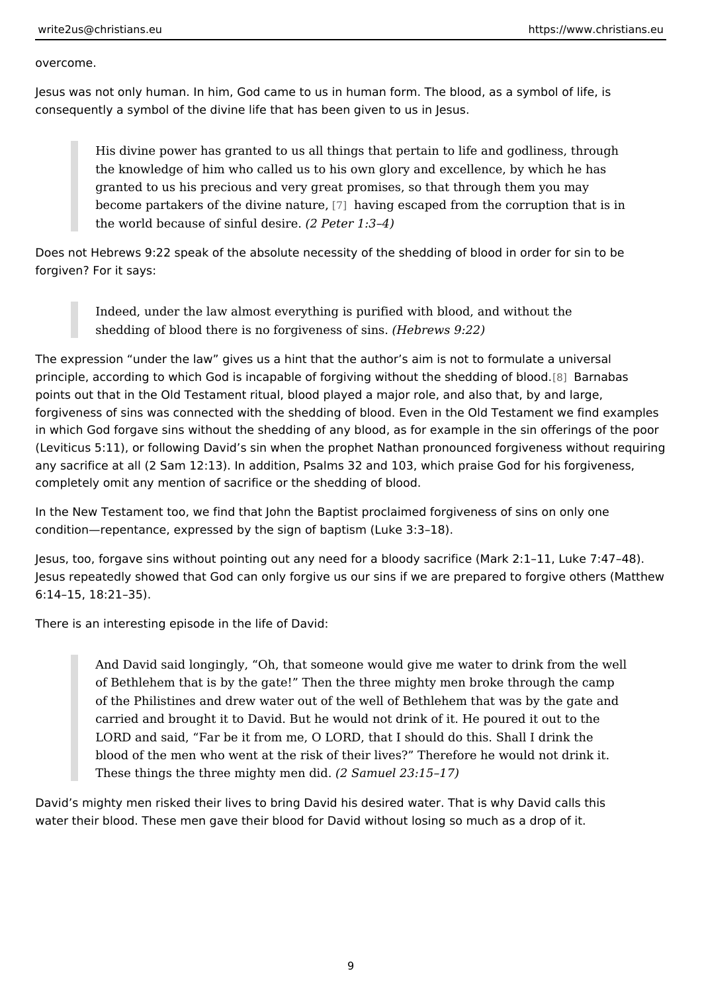overcome.

Jesus was not only human. In him, God came to us in human form. The blood, as consequently a symbol of the divine life that has been given to us in Jesus.

His divine power has granted to us all things that pertain to life and go the knowledge of him who called us to his own glory and excellence, by granted to us his precious and very great promises, so that through the become partakers of the divime has imposed from the corruption that the world because of sinf( $\Omega$  Desere1:3 4)

Does not Hebrews 9:22 speak of the absolute necessity of the shedding of blood forgiven? For it says:

Indeed, under the law almost everything is purified with blood, and with shedding of blood there is no forgiveler examples  $\mathcal{L}(2,2)$ .

The expression under the law gives us a hint that the author s aim is not to for principle, according to which God is incapable of forgiving with@uBahreabhsdding points out that in the Old Testament ritual, blood played a major role, and also forgiveness of sins was connected with the shedding of blood. Even in the Old T in which God forgave sins without the shedding of any blood, as for example in t (Leviticus 5:11), or following David s sin when the prophet Nathan pronounced for any sacrifice at all (2 Sam 12:13). In addition, Psalms 32 and 103, which praise completely omit any mention of sacrifice or the shedding of blood.

In the New Testament too, we find that John the Baptist proclaimed forgiveness condition repentance, expressed by the sign of baptism (Luke 3:3 18).

Jesus, too, forgave sins without pointing out any need for a bloody sacrifice (Ma Jesus repeatedly showed that God can only forgive us our sins if we are prepare 6:14 15, 18:21 35).

There is an interesting episode in the life of David:

And David said longingly, Oh, that someone would give me water to dri of Bethlehem that is by the gate! Then the three mighty men broke thro of the Philistines and drew water out of the well of Bethlehem that was carried and brought it to David. But he would not drink of it. He poured LORD and said, Far be it from me, O LORD, that I should do this. Shall blood of the men who went at the risk of their lives? Therefore he woul These things the three might $(y2 \text{ mSearm di}$ ied. 23:15 17)

David s mighty men risked their lives to bring David his desired water. That is w water their blood. These men gave their blood for David without losing so much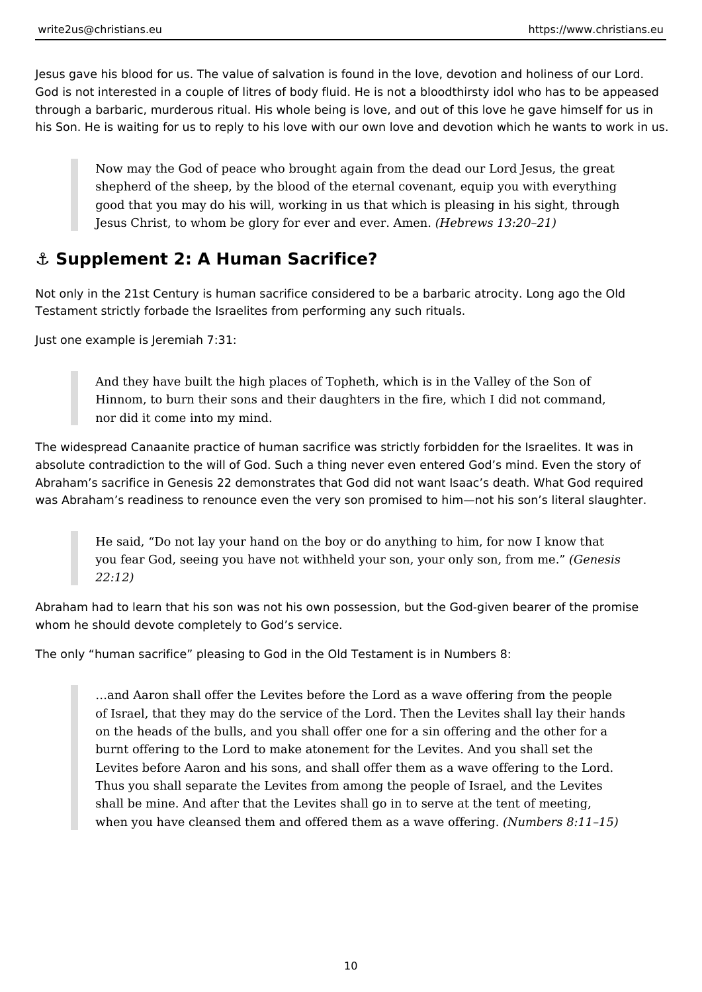<span id="page-9-0"></span>Jesus gave his blood for us. The value of salvation is found in the love, devotion and holiness of our Lord. God is not interested in a couple of litres of body fluid. He is not a bloodthirsty idol who has to be appeased through a barbaric, murderous ritual. His whole being is love, and out of this love he gave himself for us in his Son. He is waiting for us to reply to his love with our own love and devotion which he wants to work in us.

Now may the God of peace who brought again from the dead our Lord Jesus, the great shepherd of the sheep, by the blood of the eternal covenant, equip you with everything good that you may do his will, working in us that which is pleasing in his sight, through Jesus Christ, to whom be glory for ever and ever. Amen. *(Hebrews 13:20–21)*

## **⚓ Supplement 2: A Human Sacrifice?**

Not only in the 21st Century is human sacrifice considered to be a barbaric atrocity. Long ago the Old Testament strictly forbade the Israelites from performing any such rituals.

Just one example is Jeremiah 7:31:

And they have built the high places of Topheth, which is in the Valley of the Son of Hinnom, to burn their sons and their daughters in the fire, which I did not command, nor did it come into my mind.

The widespread Canaanite practice of human sacrifice was strictly forbidden for the Israelites. It was in absolute contradiction to the will of God. Such a thing never even entered God's mind. Even the story of Abraham's sacrifice in Genesis 22 demonstrates that God did not want Isaac's death. What God required was Abraham's readiness to renounce even the very son promised to him—not his son's literal slaughter.

He said, "Do not lay your hand on the boy or do anything to him, for now I know that you fear God, seeing you have not withheld your son, your only son, from me." *(Genesis 22:12)*

Abraham had to learn that his son was not his own possession, but the God-given bearer of the promise whom he should devote completely to God's service.

The only "human sacrifice" pleasing to God in the Old Testament is in Numbers 8:

…and Aaron shall offer the Levites before the Lord as a wave offering from the people of Israel, that they may do the service of the Lord. Then the Levites shall lay their hands on the heads of the bulls, and you shall offer one for a sin offering and the other for a burnt offering to the Lord to make atonement for the Levites. And you shall set the Levites before Aaron and his sons, and shall offer them as a wave offering to the Lord. Thus you shall separate the Levites from among the people of Israel, and the Levites shall be mine. And after that the Levites shall go in to serve at the tent of meeting, when you have cleansed them and offered them as a wave offering. *(Numbers 8:11–15)*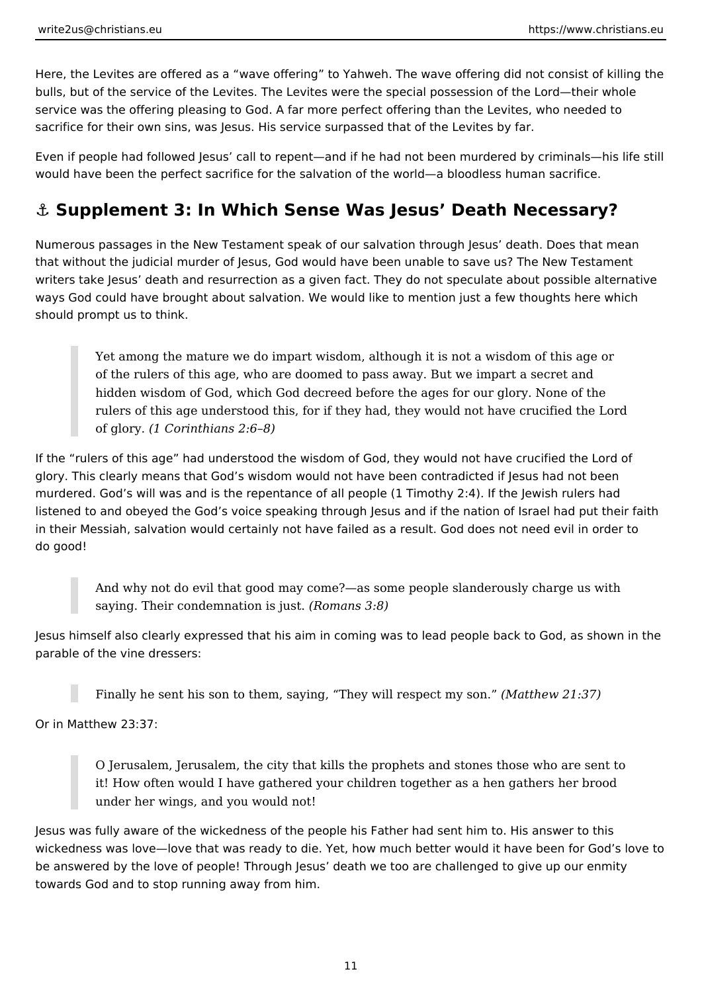<span id="page-10-0"></span>Here, the Levites are offered as a "wave offering" to Yahweh. The wave offering did not consist of killing the bulls, but of the service of the Levites. The Levites were the special possession of the Lord—their whole service was the offering pleasing to God. A far more perfect offering than the Levites, who needed to sacrifice for their own sins, was Jesus. His service surpassed that of the Levites by far.

Even if people had followed Jesus' call to repent—and if he had not been murdered by criminals—his life still would have been the perfect sacrifice for the salvation of the world—a bloodless human sacrifice.

## **⚓ Supplement 3: In Which Sense Was Jesus' Death Necessary?**

Numerous passages in the New Testament speak of our salvation through Jesus' death. Does that mean that without the judicial murder of Jesus, God would have been unable to save us? The New Testament writers take Jesus' death and resurrection as a given fact. They do not speculate about possible alternative ways God could have brought about salvation. We would like to mention just a few thoughts here which should prompt us to think.

Yet among the mature we do impart wisdom, although it is not a wisdom of this age or of the rulers of this age, who are doomed to pass away. But we impart a secret and hidden wisdom of God, which God decreed before the ages for our glory. None of the rulers of this age understood this, for if they had, they would not have crucified the Lord of glory. *(1 Corinthians 2:6–8)*

If the "rulers of this age" had understood the wisdom of God, they would not have crucified the Lord of glory. This clearly means that God's wisdom would not have been contradicted if Jesus had not been murdered. God's will was and is the repentance of all people (1 Timothy 2:4). If the Jewish rulers had listened to and obeyed the God's voice speaking through Jesus and if the nation of Israel had put their faith in their Messiah, salvation would certainly not have failed as a result. God does not need evil in order to do good!

And why not do evil that good may come?—as some people slanderously charge us with saying. Their condemnation is just. *(Romans 3:8)*

Jesus himself also clearly expressed that his aim in coming was to lead people back to God, as shown in the parable of the vine dressers:

Finally he sent his son to them, saying, "They will respect my son." *(Matthew 21:37)*

Or in Matthew 23:37:

O Jerusalem, Jerusalem, the city that kills the prophets and stones those who are sent to it! How often would I have gathered your children together as a hen gathers her brood under her wings, and you would not!

Jesus was fully aware of the wickedness of the people his Father had sent him to. His answer to this wickedness was love—love that was ready to die. Yet, how much better would it have been for God's love to be answered by the love of people! Through Jesus' death we too are challenged to give up our enmity towards God and to stop running away from him.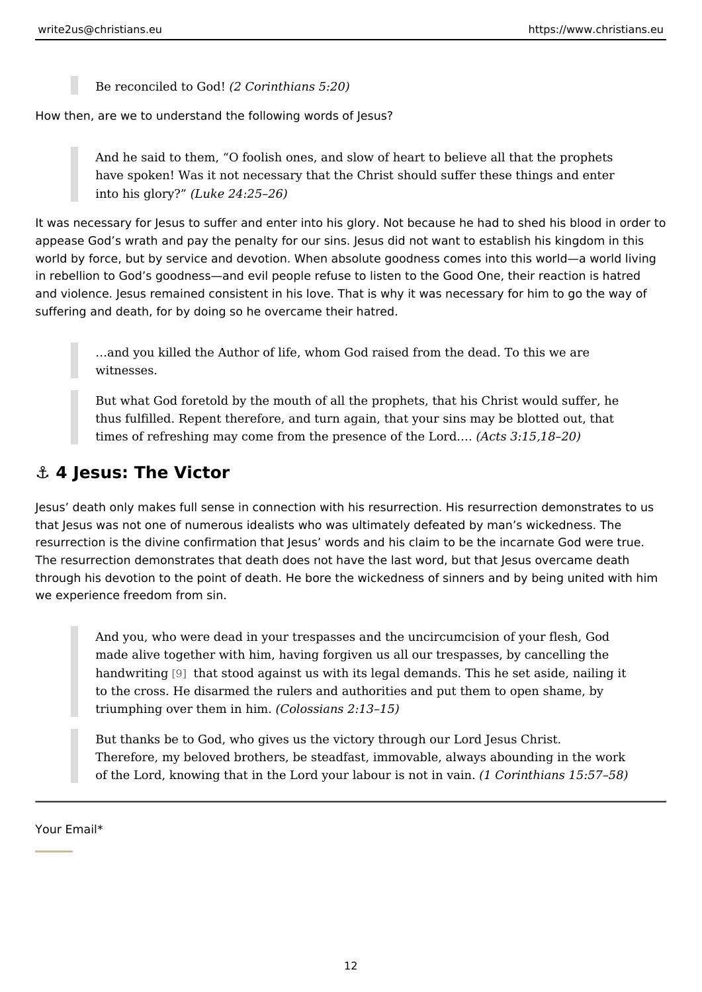Be reconciled to  $\mathcal{L}$   $\mathbb{C}$   $\mathbb{C}$   $\mathbb{C}$   $\mathbb{C}$   $\mathbb{C}$   $\mathbb{C}$   $\mathbb{C}$   $\mathbb{C}$   $\mathbb{C}$   $\mathbb{C}$   $\mathbb{C}$   $\mathbb{C}$   $\mathbb{C}$   $\mathbb{C}$   $\mathbb{C}$   $\mathbb{C}$   $\mathbb{C}$   $\mathbb{C}$   $\mathbb{C}$   $\mathbb{C}$   $\mathbb{C}$   $\mathbb{C$ 

<span id="page-11-0"></span>How then, are we to understand the following words of Jesus?

And he said to them, O foolish ones, and slow of heart to believe all th have spoken! Was it not necessary that the Christ should suffer these than into his glo $(\psi \& \& \& \& 24:25 \& 26)$ 

It was necessary for Jesus to suffer and enter into his glory. Not because he had appease God s wrath and pay the penalty for our sins. Jesus did not want to est world by force, but by service and devotion. When absolute goodness comes into in rebellion to God s goodness and evil people refuse to listen to the Good One, and violence. Jesus remained consistent in his love. That is why it was necessar suffering and death, for by doing so he overcame their hatred.

&and you killed the Author of life, whom God raised from the dead. To t witnesses.

But what God foretold by the mouth of all the prophets, that his Christ thus fulfilled. Repent therefore, and turn again, that your sins may be b times of refreshing may come from the presen( $\rho$ ectosf 3:11:15,158 d2 $\theta$ )

### &" 4 Jesus: The Victor

Jesus death only makes full sense in connection with his resurrection. His resu that Jesus was not one of numerous idealists who was ultimately defeated by ma resurrection is the divine confirmation that Jesus words and his claim to be the The resurrection demonstrates that death does not have the last word, but that J through his devotion to the point of death. He bore the wickedness of sinners an we experience freedom from sin.

And you, who were dead in your trespasses and the uncircumcision of  $y_1$ made alive together with him, having forgiven us all our trespasses, by handwrit[ing](#page-12-0) that stood against us with its legal demands. This he set as to the cross. He disarmed the rulers and authorities and put them to op triumphing over them  $(6$  ohiomssians 2:13 15)

But thanks be to God, who gives us the victory through our Lord Jesus ( Therefore, my beloved brothers, be steadfast, immovable, always aboun of the Lord, knowing that in the Lord your lab $\phi$ urCicsrimothiianns a 15:57 58)

Your Email\*